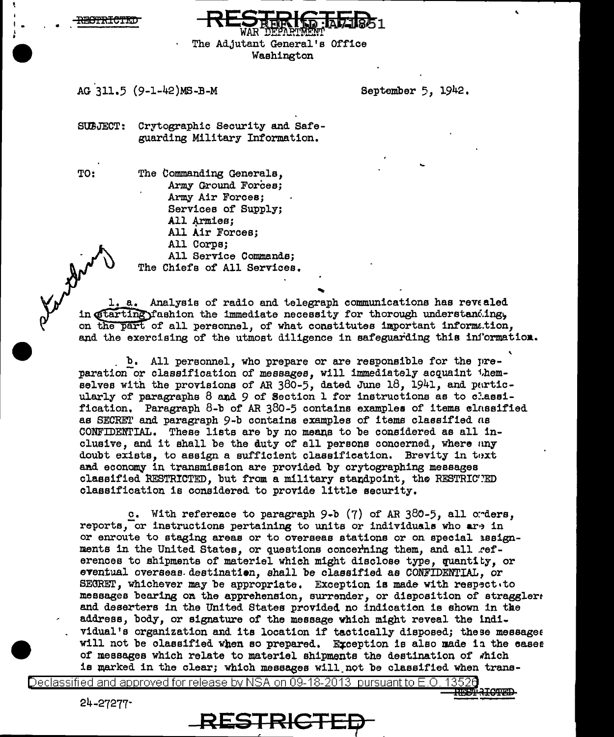<del>YACIPRTCTRI</del>



# AG 311.5 (9-1-42)MS-B-M

September 5. 1942.

SUBJECT: Crytographic Security and Safeguarding Military Information.

**TO:** 

The Commanding Generals. Army Ground Forces; Army Air Forces: Services of Supply: All Armies: All Air Forces: All Corps; All Service Commands:

The Chiefs of All Services.

1. a. Analysis of radio and telegraph communications has revealed in starting fashion the immediate necessity for thorough understanding. on the part of all personnel, of what constitutes important information, and the exercising of the utmost diligence in safeguarding this information.

b. All personnel, who prepare or are responsible for the preparation or classification of messages, will immediately acquaint themselves with the provisions of AR  $380-5$ , dated June 18, 1941, and particularly of paragraphs 8 and 9 of Section 1 for instructions as to classification. Paragraph 8-b of AR 380-5 contains examples of items classified as SECRET and paragraph 9-b contains examples of items classified as CONFIDENTIAL. These lists are by no means to be considered as all inclusive, and it shall be the duty of all persons concerned, where any doubt exists, to assign a sufficient classification. Brevity in text and economy in transmission are provided by crytographing messages classified RESTRICTED, but from a military standpoint, the RESTRICTED classification is considered to provide little security.

c. With reference to paragraph  $9-b$  (7) of AR  $380-5$ , all orders. reports, or instructions pertaining to units or individuals who are in or enroute to staging areas or to overseas stations or on special issignments in the United States, or questions concerning them, and all references to shipments of materiel which might disclose type, quantity, or eventual overseas destination, shall be classified as CONFIDENTIAL, or SECRET, whichever may be appropriate. Exception is made with respectito messages bearing on the apprehension, surrender, or disposition of straggler: and deserters in the United States provided no indication is shown in the address, body, or signature of the message which might reveal the individual's organization and its location if tactically disposed; these messages will not be classified when so prepared. Exception is also made in the cases of messages which relate to materiel shipments the destination of which is marked in the clear; which messages will not be classified when trans-

Declassified and approved for release by NSA on 09-18-2013  $\,$  pursuant to E.O  $\,$ 

 $24 - 27277$ 

RESTRICTE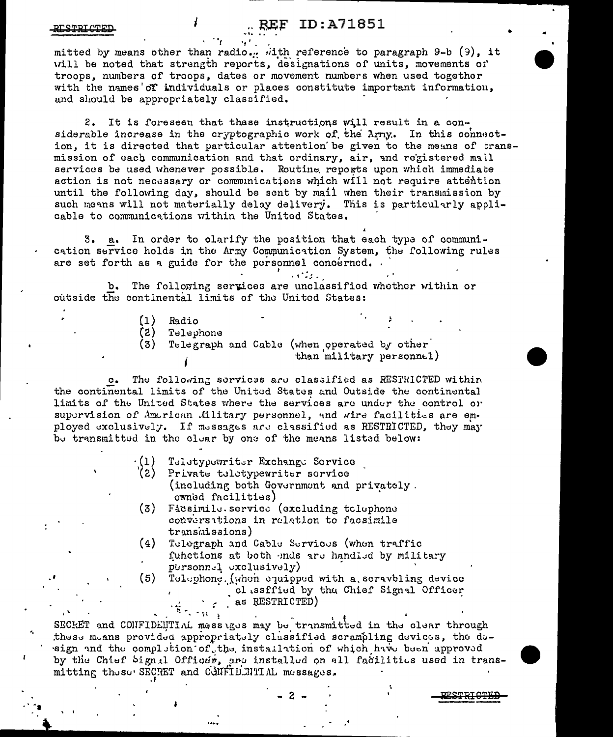## **(EF ID:A71851**

#### <u>ועיייו דסייפי</u>

mitted by means other than radio... with reference to paragraph 9-b (9), it will be noted that strength reports, designations of units, movements of troops, numbers of troops, dates or movement numbers when used together with the names of individuals or places constitute important information, and should be appropriately classified.

It is foreseen that these instructions will result in a con-2. siderable increase in the cryptographic work of the Arny. In this connection, it is directed that particular attention be given to the means of transmission of each communication and that ordinary, air, and registered mall services be used whenever possible. Routine reports upon which immediate action is not necessary or communications which will not require attention until the following day, should be sent by mail when their transmission by such means will not materially delay delivery. This is particularly applicable to communications within the United States.

3. a. In order to clarify the position that each type of communication service holds in the Army Communication System, the following rules are set forth as a guide for the personnel concerned.

The following services are unclassified whether within or b. outside the continental limits of the United States:

- $(1)$ Radio
- $(2)$ Telephone
- $(3)$ Telegraph and Cable (when operated by other than military personnel)

 $\mathcal{L}^{\text{max}}_{\text{max}}$ 

The following services are classified as RESTRICTED within  $\circ$ . the continental limits of the United States and Outside the continental limits of the United States where the services are under the control or supervision of American Military personnel, and wire facilities are employed exclusively. If messages are classified as RESTRICTED, they may be transmitted in the clear by one of the means listed below:

- Teletypewriter Exchange Service  $(1)$
- (2) Private teletypewriter service (including both Government and privately. owned facilities)
- $(3)$ Facsimile.service (excluding tolephone conversitions in relation to facsimile transmissions)
- $(4)$ Telegraph and Cable Services (when traffic functions at both ends are handled by military pursonnel exclusively)
- $(5)$ Telephone. (when equipped with a scravbling device classffied by the Chief Signal Officer as RESTRICTED)

ESTRICTEE

SECKET and CONFIDENTIAL massiges may be transmitted in the clear through these means provided appropriately clussified scrampling devices, the design and the completion of the installation of which have been approved by the Chief Signal Officer, are installed on all facilities used in transmitting these SECRET and CONFIDENTIAL messages.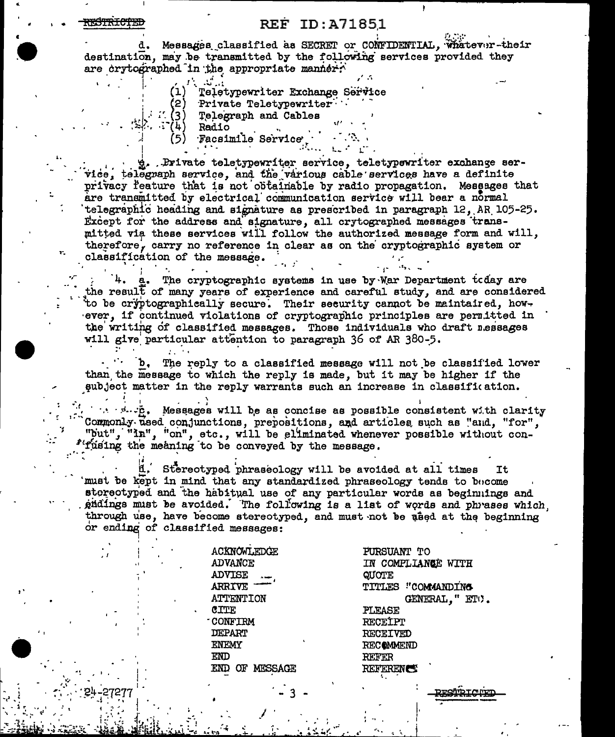#### <del>ISTRICTE</del>

### **REF ID: A71851**

d. Messages classified as SECRET or CONFIDENTIAL, Whatever-their destination, may be transmitted by the following services provided they are crytographed in the appropriate manner.

- Teletypewriter Exchange Service  $(1)$
- Private Teletypewriter
- $4T(3)$ Telegraph and Cables  $\cdot$  (4) Radio

Facsimile Service

g. Private teletypewriter service, teletypewriter exchange service, telegraph service, and the various cable services have a definite privacy reature that is not obtainable by radio propagation. Messages that are transmitted by electrical communication service will bear a normal telegraphic heading and signature as prescribed in paragraph 12, AR 105-25. Except for the address and signature, all crytographed messages transmitted via these services will follow the authorized message form and will, therefore, carry no reference in clear as on the cryptographic system or classification of the message.

The cryptographic systems in use by Nar Department today are the result of many years of experience and careful study, and are considered to be cryptographically secure. Their security cannot be maintaired, however, if continued violations of cryptographic principles are permitted in the writing of classified messages. Those individuals who draft messages will give particular attention to paragraph 36 of AR 380-5.

The reply to a classified message will not be classified lower than the message to which the reply is made, but it may be higher if the subject matter in the reply warrants such an increase in classification.

 $\therefore$   $\forall$   $\forall$   $\forall$   $\forall$  Messages will be as concise as possible consistent with clarity Commonly used conjunctions, prepositions, and articles such as "and, "for", "but", "in", "on", etc., will be eliminated whenever possible without con-"fusing the meaning to be conveyed by the message.

Stereotyped phraseology will be avoided at all times It must be kept in mind that any standardized phraseology tends to become stereotyped and the habitual use of any particular words as beginnings and gndings must be avoided. The following is a list of words and phrases which through use, have become stereotyped, and must not be used at the beginning or ending of classified messages:

> ACKNOWLEDGE **ADVANCE ADVISE ARRIVE ATTENTION** CITE **CONFIRM DEPART** ENEMY END END OF MESSAGE

PURSUANT TO IN COMPLIANCE WITH QUOTE TITLES "COMMANDING GENERAL. " ETO. **PLEASE RECEIPT RECEIVED RECOMMEND** REFER **REFERENCE** 

<u>uchio Trunui</u>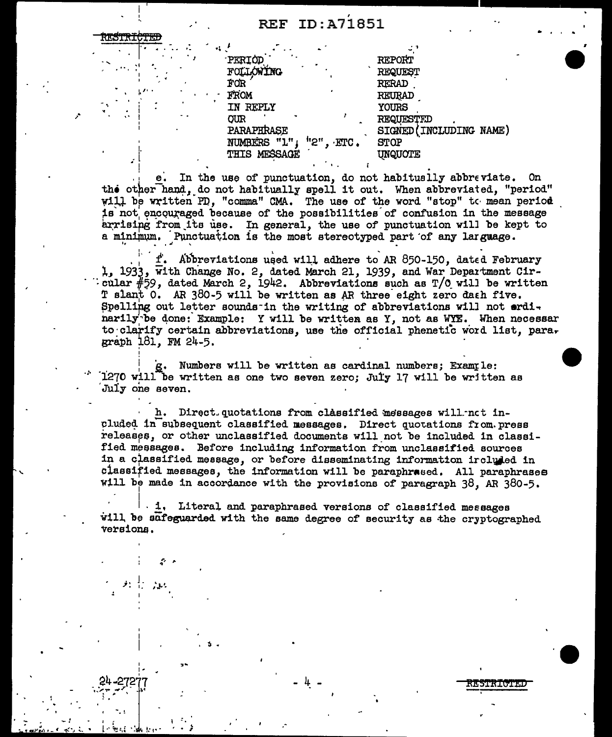| PERIOD                          | <b>REPORT</b>          |
|---------------------------------|------------------------|
| FOLLOWING                       | REQUEST                |
| FOR                             | <b>RERAD</b>           |
| FROM                            | REURAD                 |
| IN REPLY                        | YOURS                  |
| <b>OUR</b>                      | REQUESTED              |
| PARAPHRASE                      | SIGNED (INCLUDING NAME |
| $"2"$ . $ETC$ .<br>NUMBERS "1", | <b>STOP</b>            |
| THIS MESSAGE                    | UNQUOTE                |
|                                 |                        |

e. In the use of punctuation, do not habitually abbreviate. On the other hand, do not habitually spell it out. When abbreviated, "period" will be written PD, "comma" CMA. The use of the word "stop" to mean period is not encouraged because of the possibilities of confusion in the message arrising from its use. In general, the use of punctuation will be kept to a minimum. Punctuation is the most stereotyped part of any larguage.

f. Abbreviations used will adhere to AR 850-150, dated February 1, 1933, with Change No. 2. dated March 21, 1939, and War Department Circular  $#59$ , dated March 2, 1942. Abbreviations such as  $T/0$  will be written T slant 0. AR 380-5 will be written as AR three eight zero dath five. Spelling out letter sounds in the writing of abbreviations will not erdinarily be done: Example: Y will be written as Y, not as WYE. When necessar to clarify certain abbreviations, use the official phenetic word list, para. graph 181, FM 24-5.

g. Numbers will be written as cardinal numbers; Example: 1270 will be written as one two seven zero; July 17 will be written as July one seven.

h. Direct quotations from classified messages will not included in subsequent classified messages. Direct quotations from press releases, or other unclassified documents will not be included in classified messages. Before including information from unclassified sources in a classified message, or before disseminating information ircluded in classified messages, the information will be paraphrased. All paraphrases will be made in accordance with the provisions of paragraph 38, AR 380-5.

. 1. Literal and paraphrased versions of classified messages will be safeguarded with the same degree of security as the cryptographed versions.

**RESTRICTED**